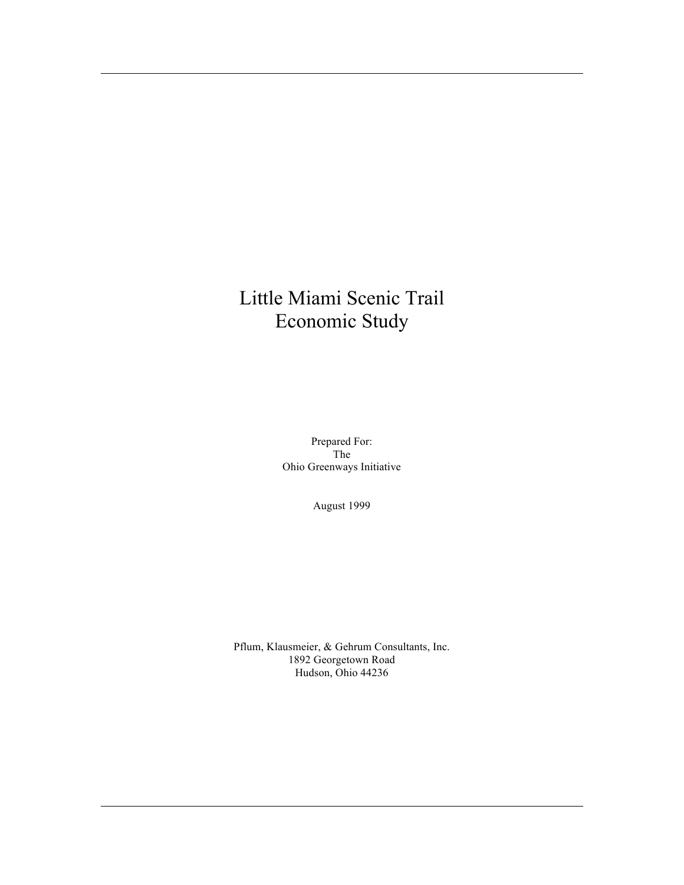# Little Miami Scenic Trail Economic Study

Prepared For: The Ohio Greenways Initiative

August 1999

Pflum, Klausmeier, & Gehrum Consultants, Inc. 1892 Georgetown Road Hudson, Ohio 44236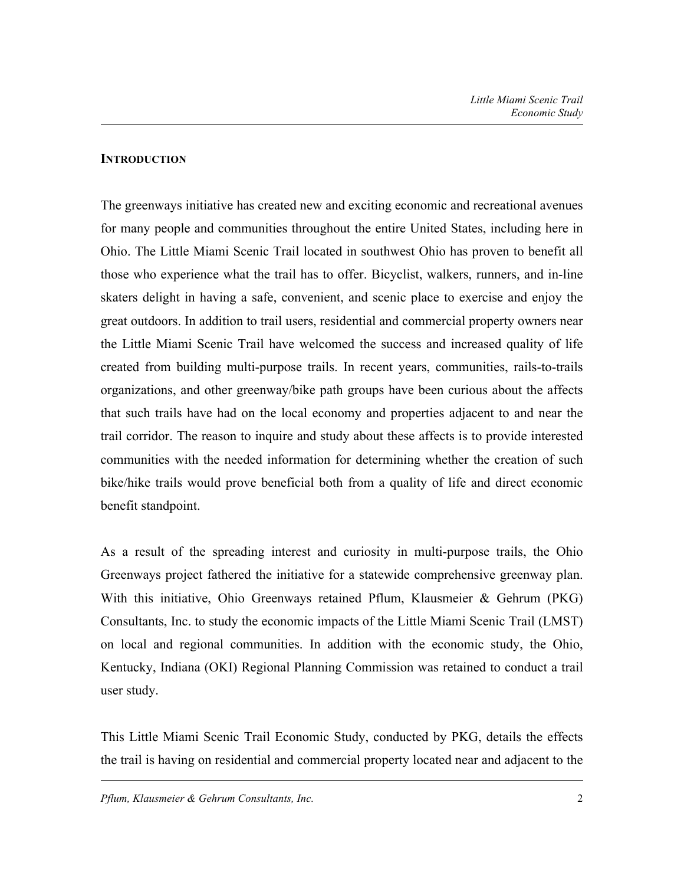## **INTRODUCTION**

The greenways initiative has created new and exciting economic and recreational avenues for many people and communities throughout the entire United States, including here in Ohio. The Little Miami Scenic Trail located in southwest Ohio has proven to benefit all those who experience what the trail has to offer. Bicyclist, walkers, runners, and in-line skaters delight in having a safe, convenient, and scenic place to exercise and enjoy the great outdoors. In addition to trail users, residential and commercial property owners near the Little Miami Scenic Trail have welcomed the success and increased quality of life created from building multi-purpose trails. In recent years, communities, rails-to-trails organizations, and other greenway/bike path groups have been curious about the affects that such trails have had on the local economy and properties adjacent to and near the trail corridor. The reason to inquire and study about these affects is to provide interested communities with the needed information for determining whether the creation of such bike/hike trails would prove beneficial both from a quality of life and direct economic benefit standpoint.

As a result of the spreading interest and curiosity in multi-purpose trails, the Ohio Greenways project fathered the initiative for a statewide comprehensive greenway plan. With this initiative, Ohio Greenways retained Pflum, Klausmeier & Gehrum (PKG) Consultants, Inc. to study the economic impacts of the Little Miami Scenic Trail (LMST) on local and regional communities. In addition with the economic study, the Ohio, Kentucky, Indiana (OKI) Regional Planning Commission was retained to conduct a trail user study.

This Little Miami Scenic Trail Economic Study, conducted by PKG, details the effects the trail is having on residential and commercial property located near and adjacent to the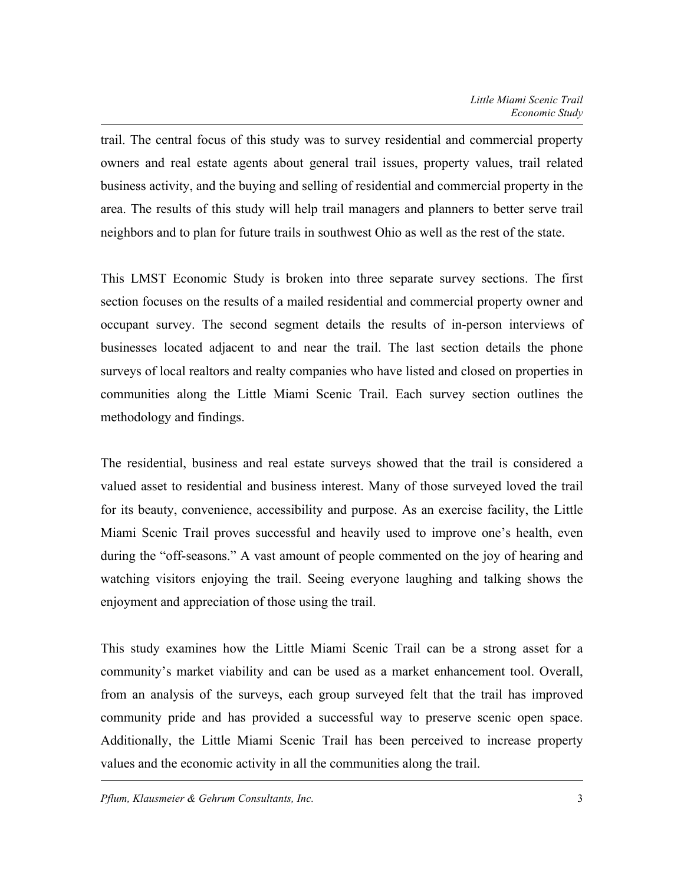trail. The central focus of this study was to survey residential and commercial property owners and real estate agents about general trail issues, property values, trail related business activity, and the buying and selling of residential and commercial property in the area. The results of this study will help trail managers and planners to better serve trail neighbors and to plan for future trails in southwest Ohio as well as the rest of the state.

This LMST Economic Study is broken into three separate survey sections. The first section focuses on the results of a mailed residential and commercial property owner and occupant survey. The second segment details the results of in-person interviews of businesses located adjacent to and near the trail. The last section details the phone surveys of local realtors and realty companies who have listed and closed on properties in communities along the Little Miami Scenic Trail. Each survey section outlines the methodology and findings.

The residential, business and real estate surveys showed that the trail is considered a valued asset to residential and business interest. Many of those surveyed loved the trail for its beauty, convenience, accessibility and purpose. As an exercise facility, the Little Miami Scenic Trail proves successful and heavily used to improve one's health, even during the "off-seasons." A vast amount of people commented on the joy of hearing and watching visitors enjoying the trail. Seeing everyone laughing and talking shows the enjoyment and appreciation of those using the trail.

This study examines how the Little Miami Scenic Trail can be a strong asset for a community's market viability and can be used as a market enhancement tool. Overall, from an analysis of the surveys, each group surveyed felt that the trail has improved community pride and has provided a successful way to preserve scenic open space. Additionally, the Little Miami Scenic Trail has been perceived to increase property values and the economic activity in all the communities along the trail.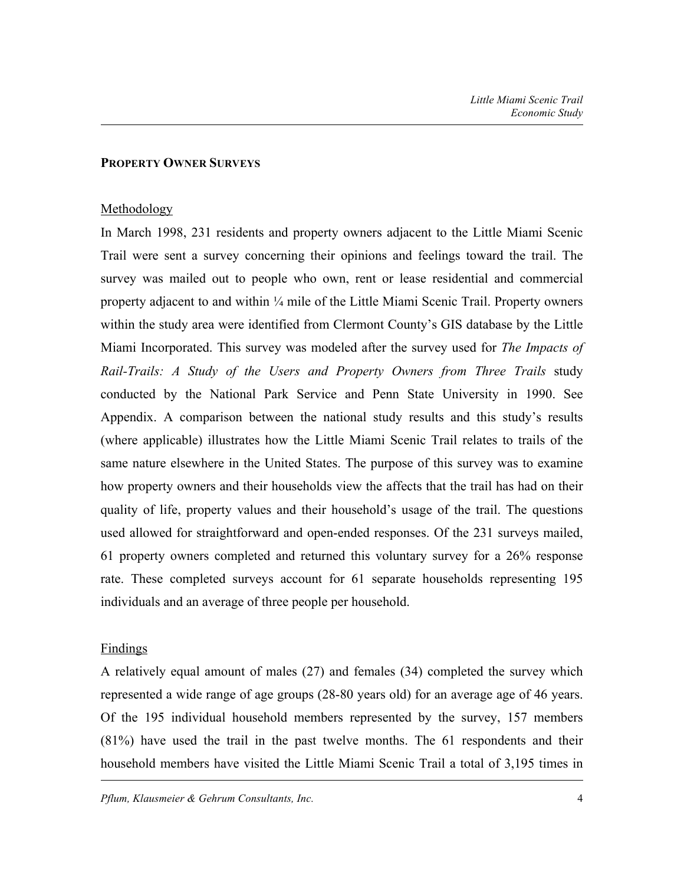#### **PROPERTY OWNER SURVEYS**

#### Methodology

In March 1998, 231 residents and property owners adjacent to the Little Miami Scenic Trail were sent a survey concerning their opinions and feelings toward the trail. The survey was mailed out to people who own, rent or lease residential and commercial property adjacent to and within ¼ mile of the Little Miami Scenic Trail. Property owners within the study area were identified from Clermont County's GIS database by the Little Miami Incorporated. This survey was modeled after the survey used for *The Impacts of Rail-Trails: A Study of the Users and Property Owners from Three Trails* study conducted by the National Park Service and Penn State University in 1990. See Appendix. A comparison between the national study results and this study's results (where applicable) illustrates how the Little Miami Scenic Trail relates to trails of the same nature elsewhere in the United States. The purpose of this survey was to examine how property owners and their households view the affects that the trail has had on their quality of life, property values and their household's usage of the trail. The questions used allowed for straightforward and open-ended responses. Of the 231 surveys mailed, 61 property owners completed and returned this voluntary survey for a 26% response rate. These completed surveys account for 61 separate households representing 195 individuals and an average of three people per household.

### Findings

A relatively equal amount of males (27) and females (34) completed the survey which represented a wide range of age groups (28-80 years old) for an average age of 46 years. Of the 195 individual household members represented by the survey, 157 members (81%) have used the trail in the past twelve months. The 61 respondents and their household members have visited the Little Miami Scenic Trail a total of 3,195 times in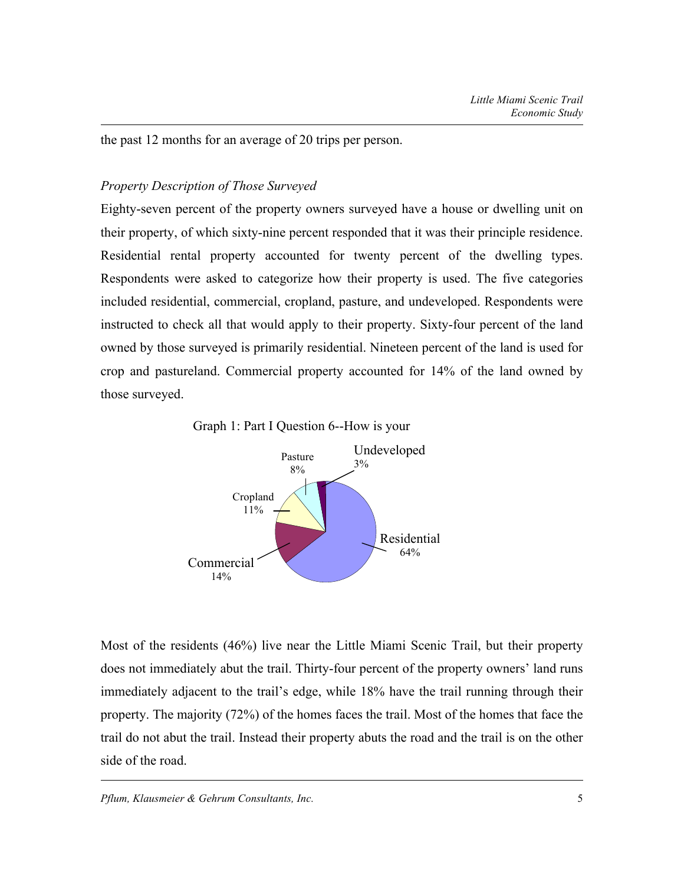the past 12 months for an average of 20 trips per person.

## *Property Description of Those Surveyed*

Eighty-seven percent of the property owners surveyed have a house or dwelling unit on their property, of which sixty-nine percent responded that it was their principle residence. Residential rental property accounted for twenty percent of the dwelling types. Respondents were asked to categorize how their property is used. The five categories included residential, commercial, cropland, pasture, and undeveloped. Respondents were instructed to check all that would apply to their property. Sixty-four percent of the land owned by those surveyed is primarily residential. Nineteen percent of the land is used for crop and pastureland. Commercial property accounted for 14% of the land owned by those surveyed.

Graph 1: Part I Question 6--How is your



Most of the residents (46%) live near the Little Miami Scenic Trail, but their property does not immediately abut the trail. Thirty-four percent of the property owners' land runs immediately adjacent to the trail's edge, while 18% have the trail running through their property. The majority (72%) of the homes faces the trail. Most of the homes that face the trail do not abut the trail. Instead their property abuts the road and the trail is on the other side of the road.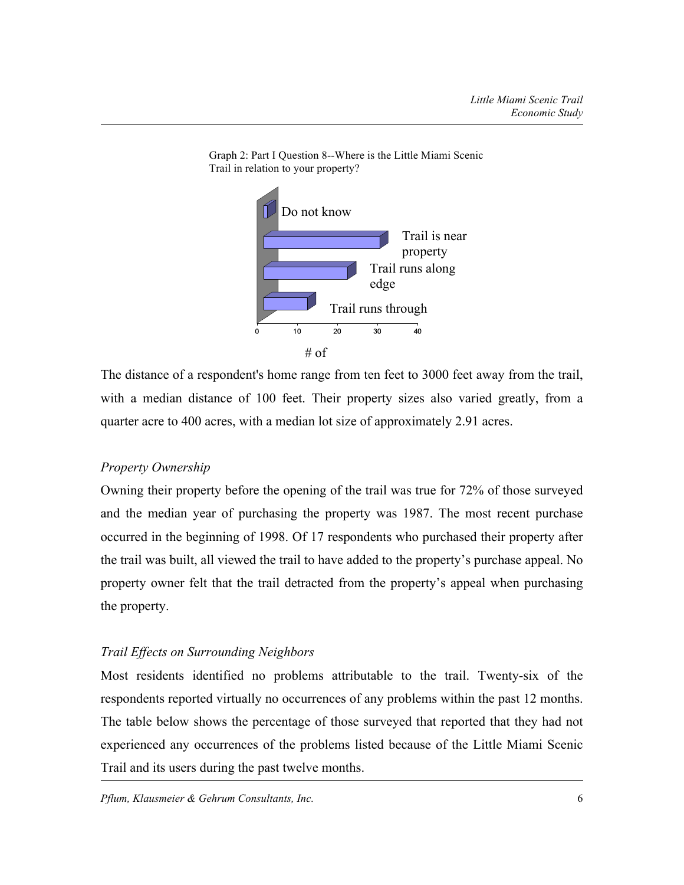

Graph 2: Part I Question 8--Where is the Little Miami Scenic Trail in relation to your property?

The distance of a respondent's home range from ten feet to 3000 feet away from the trail, with a median distance of 100 feet. Their property sizes also varied greatly, from a quarter acre to 400 acres, with a median lot size of approximately 2.91 acres.

## *Property Ownership*

Owning their property before the opening of the trail was true for 72% of those surveyed and the median year of purchasing the property was 1987. The most recent purchase occurred in the beginning of 1998. Of 17 respondents who purchased their property after the trail was built, all viewed the trail to have added to the property's purchase appeal. No property owner felt that the trail detracted from the property's appeal when purchasing the property.

### *Trail Effects on Surrounding Neighbors*

Most residents identified no problems attributable to the trail. Twenty-six of the respondents reported virtually no occurrences of any problems within the past 12 months. The table below shows the percentage of those surveyed that reported that they had not experienced any occurrences of the problems listed because of the Little Miami Scenic Trail and its users during the past twelve months.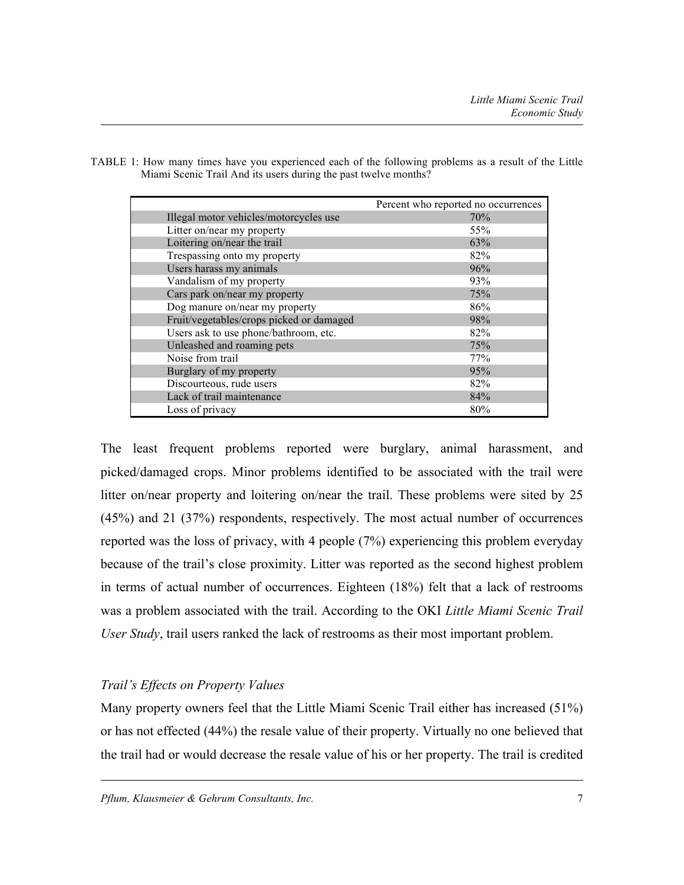|                                          | Percent who reported no occurrences |
|------------------------------------------|-------------------------------------|
| Illegal motor vehicles/motorcycles use   | 70%                                 |
| Litter on/near my property               | 55%                                 |
| Loitering on/near the trail              | 63%                                 |
| Trespassing onto my property             | 82%                                 |
| Users harass my animals                  | 96%                                 |
| Vandalism of my property                 | 93%                                 |
| Cars park on/near my property            | 75%                                 |
| Dog manure on/near my property           | 86%                                 |
| Fruit/vegetables/crops picked or damaged | 98%                                 |
| Users ask to use phone/bathroom, etc.    | 82%                                 |
| Unleashed and roaming pets               | 75%                                 |
| Noise from trail                         | 77%                                 |
| Burglary of my property                  | 95%                                 |
| Discourteous, rude users                 | 82%                                 |
| Lack of trail maintenance                | 84%                                 |
| Loss of privacy                          | 80%                                 |

TABLE 1: How many times have you experienced each of the following problems as a result of the Little Miami Scenic Trail And its users during the past twelve months?

The least frequent problems reported were burglary, animal harassment, and picked/damaged crops. Minor problems identified to be associated with the trail were litter on/near property and loitering on/near the trail. These problems were sited by 25 (45%) and 21 (37%) respondents, respectively. The most actual number of occurrences reported was the loss of privacy, with 4 people (7%) experiencing this problem everyday because of the trail's close proximity. Litter was reported as the second highest problem in terms of actual number of occurrences. Eighteen (18%) felt that a lack of restrooms was a problem associated with the trail. According to the OKI *Little Miami Scenic Trail User Study*, trail users ranked the lack of restrooms as their most important problem.

# *Trail's Effects on Property Values*

Many property owners feel that the Little Miami Scenic Trail either has increased (51%) or has not effected (44%) the resale value of their property. Virtually no one believed that the trail had or would decrease the resale value of his or her property. The trail is credited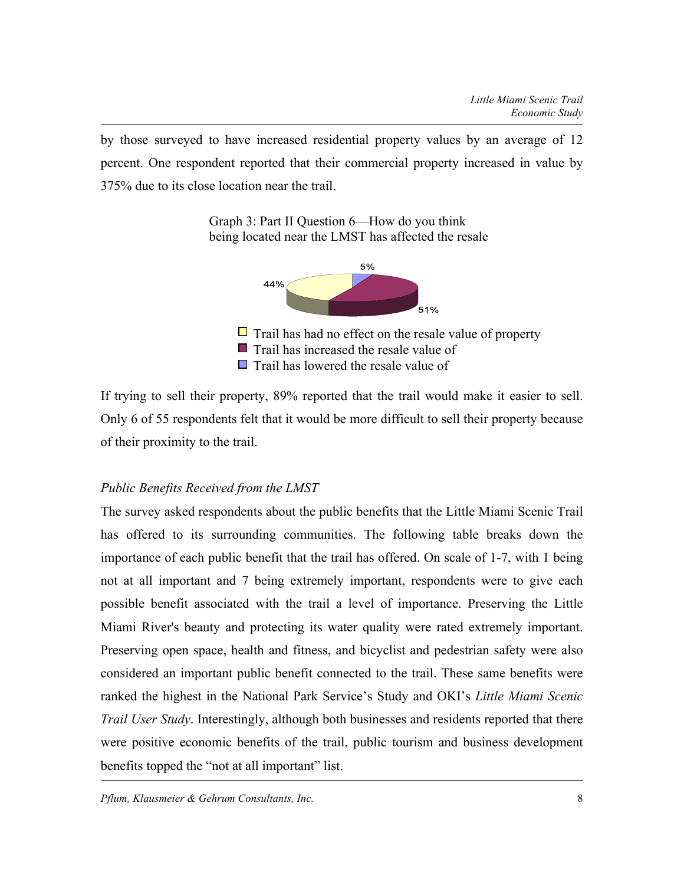by those surveyed to have increased residential property values by an average of 12 percent. One respondent reported that their commercial property increased in value by 375% due to its close location near the trail.

> Graph 3: Part II Question 6—How do you think being located near the LMST has affected the resale



If trying to sell their property, 89% reported that the trail would make it easier to sell. Only 6 of 55 respondents felt that it would be more difficult to sell their property because of their proximity to the trail.

# *Public Benefits Received from the LMST*

The survey asked respondents about the public benefits that the Little Miami Scenic Trail has offered to its surrounding communities. The following table breaks down the importance of each public benefit that the trail has offered. On scale of 1-7, with 1 being not at all important and 7 being extremely important, respondents were to give each possible benefit associated with the trail a level of importance. Preserving the Little Miami River's beauty and protecting its water quality were rated extremely important. Preserving open space, health and fitness, and bicyclist and pedestrian safety were also considered an important public benefit connected to the trail. These same benefits were ranked the highest in the National Park Service's Study and OKI's *Little Miami Scenic Trail User Study*. Interestingly, although both businesses and residents reported that there were positive economic benefits of the trail, public tourism and business development benefits topped the "not at all important" list.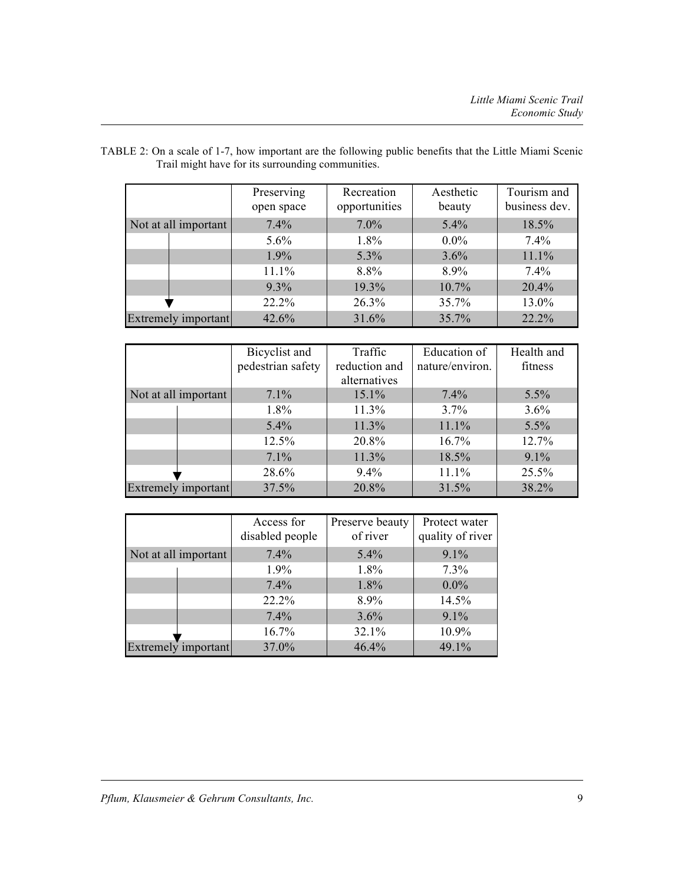|                      | Preserving<br>open space | Recreation<br>opportunities | Aesthetic<br>beauty | Tourism and<br>business dev. |
|----------------------|--------------------------|-----------------------------|---------------------|------------------------------|
| Not at all important | $7.4\%$                  | $7.0\%$                     | $5.4\%$             | 18.5%                        |
|                      | $5.6\%$                  | 1.8%                        | $0.0\%$             | $7.4\%$                      |
|                      | 1.9%                     | 5.3%                        | 3.6%                | 11.1%                        |
|                      | 11.1%                    | 8.8%                        | 8.9%                | $7.4\%$                      |
|                      | $9.3\%$                  | 19.3%                       | $10.7\%$            | 20.4%                        |
|                      | 22.2%                    | 26.3%                       | 35.7%               | 13.0%                        |
| Extremely important  | 42.6%                    | 31.6%                       | 35.7%               | 22.2%                        |

| TABLE 2: On a scale of 1-7, how important are the following public benefits that the Little Miami Scenic |  |
|----------------------------------------------------------------------------------------------------------|--|
| Trail might have for its surrounding communities.                                                        |  |

|                      | Bicyclist and     | Traffic       | Education of    | Health and |
|----------------------|-------------------|---------------|-----------------|------------|
|                      | pedestrian safety | reduction and | nature/environ. | fitness    |
|                      |                   | alternatives  |                 |            |
| Not at all important | 7.1%              | $15.1\%$      | 7.4%            | 5.5%       |
|                      | 1.8%              | 11.3%         | 3.7%            | 3.6%       |
|                      | 5.4%              | 11.3%         | 11.1%           | 5.5%       |
|                      | 12.5%             | 20.8%         | 16.7%           | 12.7%      |
|                      | 7.1%              | 11.3%         | 18.5%           | 9.1%       |
|                      | 28.6%             | 9.4%          | 11.1%           | 25.5%      |
| Extremely important  | 37.5%             | 20.8%         | 31.5%           | 38.2%      |

|                      | Access for<br>disabled people | Preserve beauty<br>of river | Protect water<br>quality of river |
|----------------------|-------------------------------|-----------------------------|-----------------------------------|
| Not at all important | 7.4%                          | $5.4\%$                     | 9.1%                              |
|                      | 1.9%                          | 1.8%                        | 7.3%                              |
|                      | 7.4%                          | 1.8%                        | $0.0\%$                           |
|                      | 22.2%                         | 8.9%                        | 14.5%                             |
|                      | 7.4%                          | 3.6%                        | 9.1%                              |
|                      | 16.7%                         | 32.1%                       | 10.9%                             |
| Extremely important  | 37.0%                         | 46.4%                       | 49.1%                             |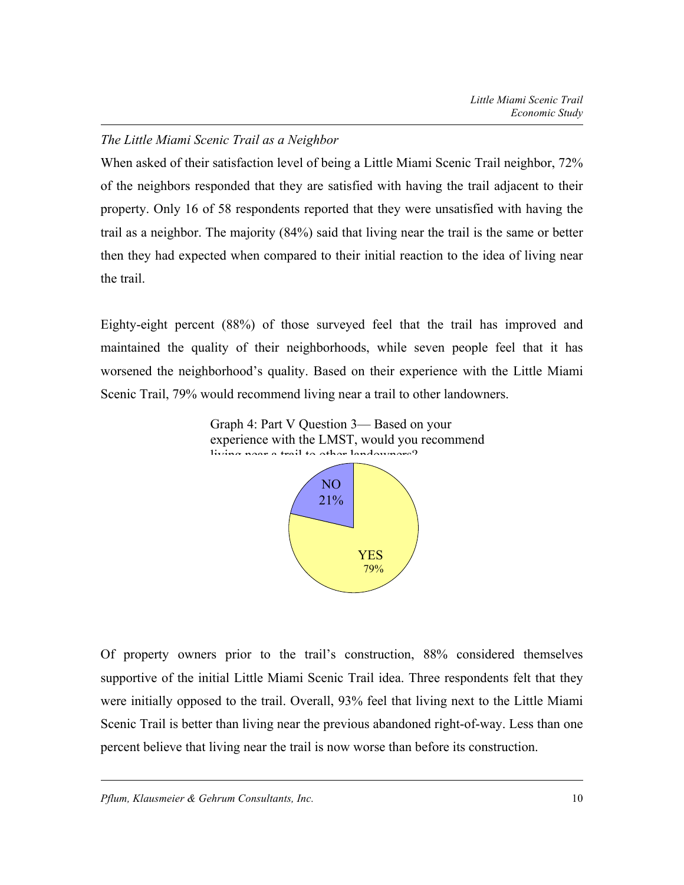# *The Little Miami Scenic Trail as a Neighbor*

When asked of their satisfaction level of being a Little Miami Scenic Trail neighbor, 72% of the neighbors responded that they are satisfied with having the trail adjacent to their property. Only 16 of 58 respondents reported that they were unsatisfied with having the trail as a neighbor. The majority (84%) said that living near the trail is the same or better then they had expected when compared to their initial reaction to the idea of living near the trail.

Eighty-eight percent (88%) of those surveyed feel that the trail has improved and maintained the quality of their neighborhoods, while seven people feel that it has worsened the neighborhood's quality. Based on their experience with the Little Miami Scenic Trail, 79% would recommend living near a trail to other landowners.



Of property owners prior to the trail's construction, 88% considered themselves supportive of the initial Little Miami Scenic Trail idea. Three respondents felt that they were initially opposed to the trail. Overall, 93% feel that living next to the Little Miami Scenic Trail is better than living near the previous abandoned right-of-way. Less than one percent believe that living near the trail is now worse than before its construction.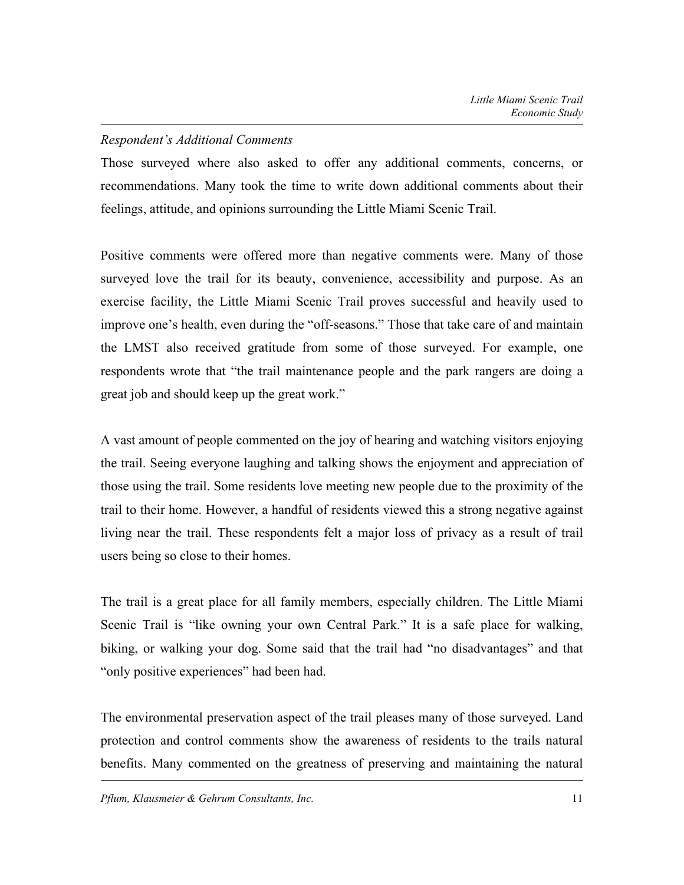## *Respondent's Additional Comments*

Those surveyed where also asked to offer any additional comments, concerns, or recommendations. Many took the time to write down additional comments about their feelings, attitude, and opinions surrounding the Little Miami Scenic Trail.

Positive comments were offered more than negative comments were. Many of those surveyed love the trail for its beauty, convenience, accessibility and purpose. As an exercise facility, the Little Miami Scenic Trail proves successful and heavily used to improve one's health, even during the "off-seasons." Those that take care of and maintain the LMST also received gratitude from some of those surveyed. For example, one respondents wrote that "the trail maintenance people and the park rangers are doing a great job and should keep up the great work."

A vast amount of people commented on the joy of hearing and watching visitors enjoying the trail. Seeing everyone laughing and talking shows the enjoyment and appreciation of those using the trail. Some residents love meeting new people due to the proximity of the trail to their home. However, a handful of residents viewed this a strong negative against living near the trail. These respondents felt a major loss of privacy as a result of trail users being so close to their homes.

The trail is a great place for all family members, especially children. The Little Miami Scenic Trail is "like owning your own Central Park." It is a safe place for walking, biking, or walking your dog. Some said that the trail had "no disadvantages" and that "only positive experiences" had been had.

The environmental preservation aspect of the trail pleases many of those surveyed. Land protection and control comments show the awareness of residents to the trails natural benefits. Many commented on the greatness of preserving and maintaining the natural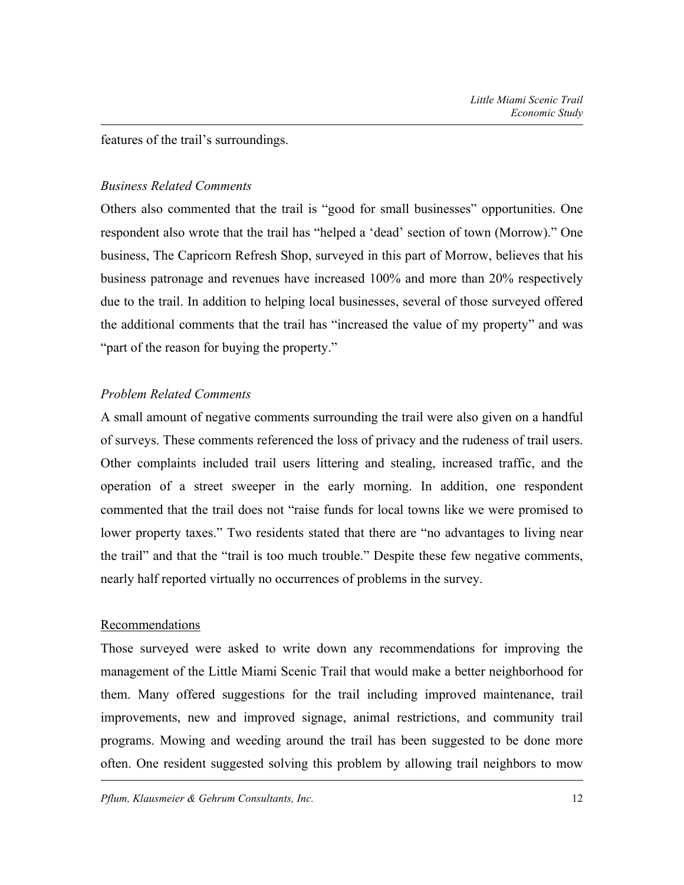features of the trail's surroundings.

### *Business Related Comments*

Others also commented that the trail is "good for small businesses" opportunities. One respondent also wrote that the trail has "helped a 'dead' section of town (Morrow)." One business, The Capricorn Refresh Shop, surveyed in this part of Morrow, believes that his business patronage and revenues have increased 100% and more than 20% respectively due to the trail. In addition to helping local businesses, several of those surveyed offered the additional comments that the trail has "increased the value of my property" and was "part of the reason for buying the property."

## *Problem Related Comments*

A small amount of negative comments surrounding the trail were also given on a handful of surveys. These comments referenced the loss of privacy and the rudeness of trail users. Other complaints included trail users littering and stealing, increased traffic, and the operation of a street sweeper in the early morning. In addition, one respondent commented that the trail does not "raise funds for local towns like we were promised to lower property taxes." Two residents stated that there are "no advantages to living near the trail" and that the "trail is too much trouble." Despite these few negative comments, nearly half reported virtually no occurrences of problems in the survey.

### Recommendations

Those surveyed were asked to write down any recommendations for improving the management of the Little Miami Scenic Trail that would make a better neighborhood for them. Many offered suggestions for the trail including improved maintenance, trail improvements, new and improved signage, animal restrictions, and community trail programs. Mowing and weeding around the trail has been suggested to be done more often. One resident suggested solving this problem by allowing trail neighbors to mow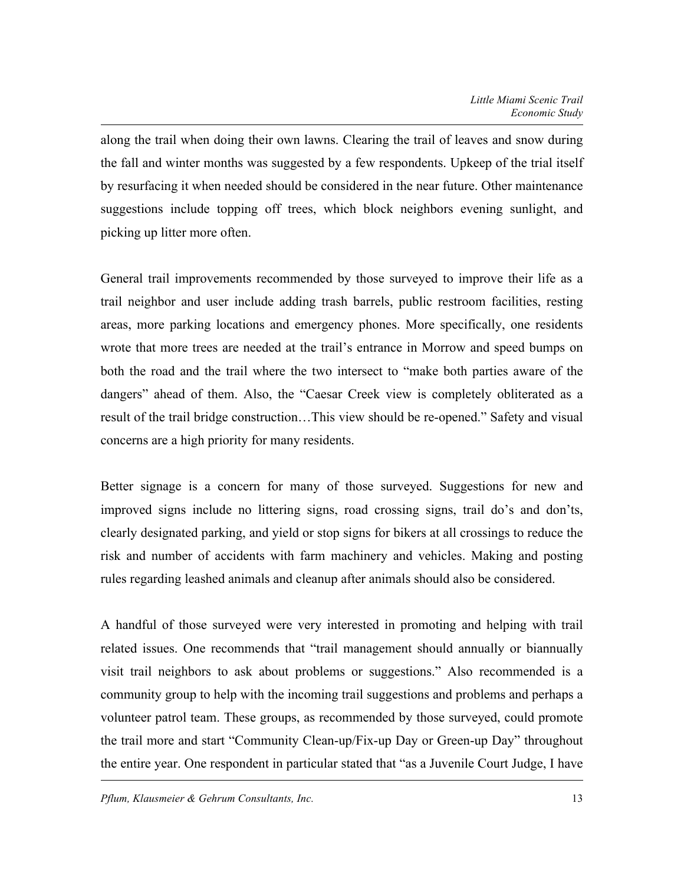along the trail when doing their own lawns. Clearing the trail of leaves and snow during the fall and winter months was suggested by a few respondents. Upkeep of the trial itself by resurfacing it when needed should be considered in the near future. Other maintenance suggestions include topping off trees, which block neighbors evening sunlight, and picking up litter more often.

General trail improvements recommended by those surveyed to improve their life as a trail neighbor and user include adding trash barrels, public restroom facilities, resting areas, more parking locations and emergency phones. More specifically, one residents wrote that more trees are needed at the trail's entrance in Morrow and speed bumps on both the road and the trail where the two intersect to "make both parties aware of the dangers" ahead of them. Also, the "Caesar Creek view is completely obliterated as a result of the trail bridge construction…This view should be re-opened." Safety and visual concerns are a high priority for many residents.

Better signage is a concern for many of those surveyed. Suggestions for new and improved signs include no littering signs, road crossing signs, trail do's and don'ts, clearly designated parking, and yield or stop signs for bikers at all crossings to reduce the risk and number of accidents with farm machinery and vehicles. Making and posting rules regarding leashed animals and cleanup after animals should also be considered.

A handful of those surveyed were very interested in promoting and helping with trail related issues. One recommends that "trail management should annually or biannually visit trail neighbors to ask about problems or suggestions." Also recommended is a community group to help with the incoming trail suggestions and problems and perhaps a volunteer patrol team. These groups, as recommended by those surveyed, could promote the trail more and start "Community Clean-up/Fix-up Day or Green-up Day" throughout the entire year. One respondent in particular stated that "as a Juvenile Court Judge, I have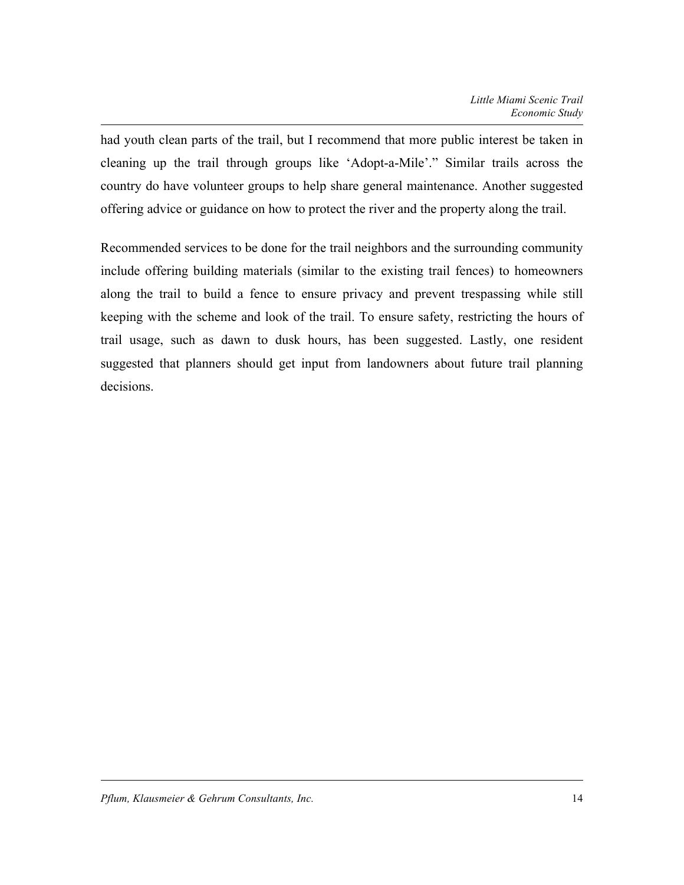had youth clean parts of the trail, but I recommend that more public interest be taken in cleaning up the trail through groups like 'Adopt-a-Mile'." Similar trails across the country do have volunteer groups to help share general maintenance. Another suggested offering advice or guidance on how to protect the river and the property along the trail.

Recommended services to be done for the trail neighbors and the surrounding community include offering building materials (similar to the existing trail fences) to homeowners along the trail to build a fence to ensure privacy and prevent trespassing while still keeping with the scheme and look of the trail. To ensure safety, restricting the hours of trail usage, such as dawn to dusk hours, has been suggested. Lastly, one resident suggested that planners should get input from landowners about future trail planning decisions.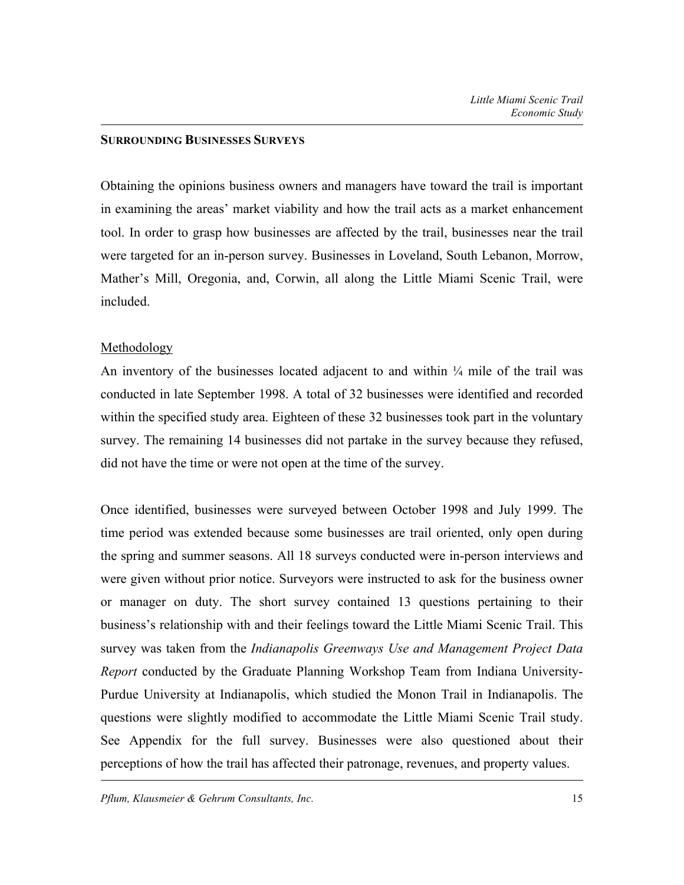#### **SURROUNDING BUSINESSES SURVEYS**

Obtaining the opinions business owners and managers have toward the trail is important in examining the areas' market viability and how the trail acts as a market enhancement tool. In order to grasp how businesses are affected by the trail, businesses near the trail were targeted for an in-person survey. Businesses in Loveland, South Lebanon, Morrow, Mather's Mill, Oregonia, and, Corwin, all along the Little Miami Scenic Trail, were included.

### Methodology

An inventory of the businesses located adjacent to and within  $\frac{1}{4}$  mile of the trail was conducted in late September 1998. A total of 32 businesses were identified and recorded within the specified study area. Eighteen of these 32 businesses took part in the voluntary survey. The remaining 14 businesses did not partake in the survey because they refused, did not have the time or were not open at the time of the survey.

Once identified, businesses were surveyed between October 1998 and July 1999. The time period was extended because some businesses are trail oriented, only open during the spring and summer seasons. All 18 surveys conducted were in-person interviews and were given without prior notice. Surveyors were instructed to ask for the business owner or manager on duty. The short survey contained 13 questions pertaining to their business's relationship with and their feelings toward the Little Miami Scenic Trail. This survey was taken from the *Indianapolis Greenways Use and Management Project Data Report* conducted by the Graduate Planning Workshop Team from Indiana University-Purdue University at Indianapolis, which studied the Monon Trail in Indianapolis. The questions were slightly modified to accommodate the Little Miami Scenic Trail study. See Appendix for the full survey. Businesses were also questioned about their perceptions of how the trail has affected their patronage, revenues, and property values.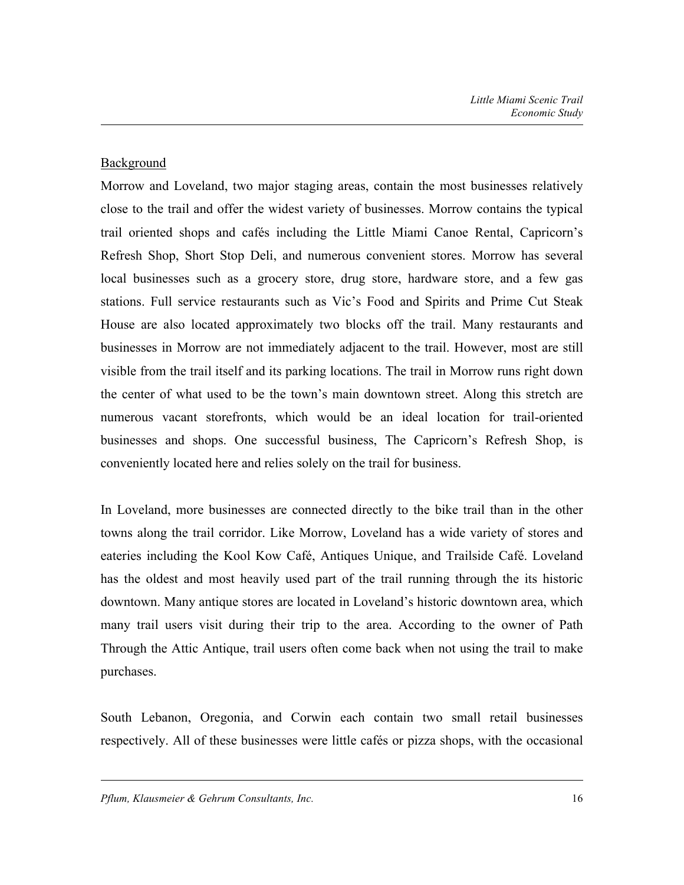# **Background**

Morrow and Loveland, two major staging areas, contain the most businesses relatively close to the trail and offer the widest variety of businesses. Morrow contains the typical trail oriented shops and cafés including the Little Miami Canoe Rental, Capricorn's Refresh Shop, Short Stop Deli, and numerous convenient stores. Morrow has several local businesses such as a grocery store, drug store, hardware store, and a few gas stations. Full service restaurants such as Vic's Food and Spirits and Prime Cut Steak House are also located approximately two blocks off the trail. Many restaurants and businesses in Morrow are not immediately adjacent to the trail. However, most are still visible from the trail itself and its parking locations. The trail in Morrow runs right down the center of what used to be the town's main downtown street. Along this stretch are numerous vacant storefronts, which would be an ideal location for trail-oriented businesses and shops. One successful business, The Capricorn's Refresh Shop, is conveniently located here and relies solely on the trail for business.

In Loveland, more businesses are connected directly to the bike trail than in the other towns along the trail corridor. Like Morrow, Loveland has a wide variety of stores and eateries including the Kool Kow Café, Antiques Unique, and Trailside Café. Loveland has the oldest and most heavily used part of the trail running through the its historic downtown. Many antique stores are located in Loveland's historic downtown area, which many trail users visit during their trip to the area. According to the owner of Path Through the Attic Antique, trail users often come back when not using the trail to make purchases.

South Lebanon, Oregonia, and Corwin each contain two small retail businesses respectively. All of these businesses were little cafés or pizza shops, with the occasional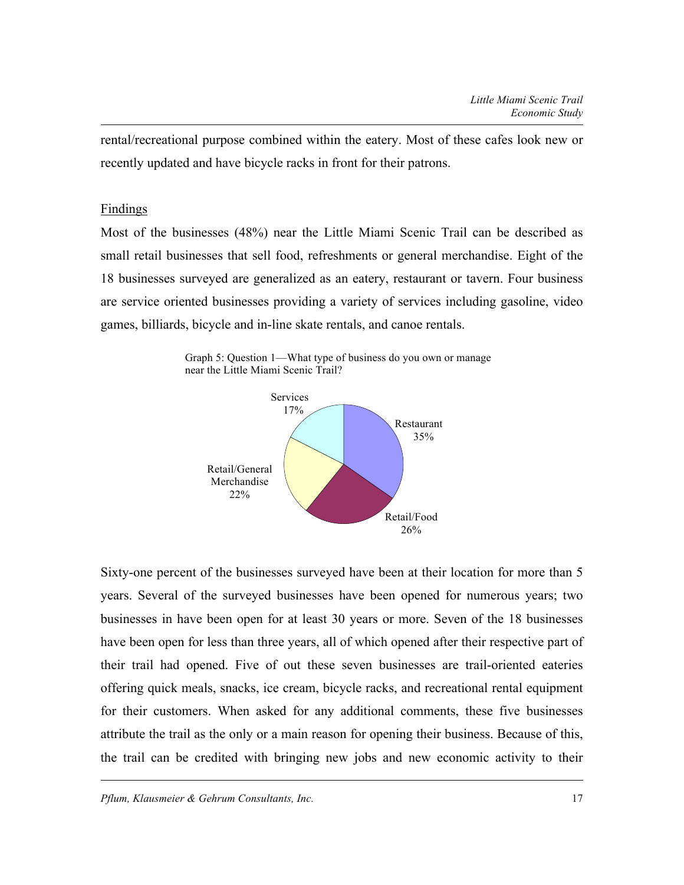rental/recreational purpose combined within the eatery. Most of these cafes look new or recently updated and have bicycle racks in front for their patrons.

#### Findings

Most of the businesses (48%) near the Little Miami Scenic Trail can be described as small retail businesses that sell food, refreshments or general merchandise. Eight of the 18 businesses surveyed are generalized as an eatery, restaurant or tavern. Four business are service oriented businesses providing a variety of services including gasoline, video games, billiards, bicycle and in-line skate rentals, and canoe rentals.





Sixty-one percent of the businesses surveyed have been at their location for more than 5 years. Several of the surveyed businesses have been opened for numerous years; two businesses in have been open for at least 30 years or more. Seven of the 18 businesses have been open for less than three years, all of which opened after their respective part of their trail had opened. Five of out these seven businesses are trail-oriented eateries offering quick meals, snacks, ice cream, bicycle racks, and recreational rental equipment for their customers. When asked for any additional comments, these five businesses attribute the trail as the only or a main reason for opening their business. Because of this, the trail can be credited with bringing new jobs and new economic activity to their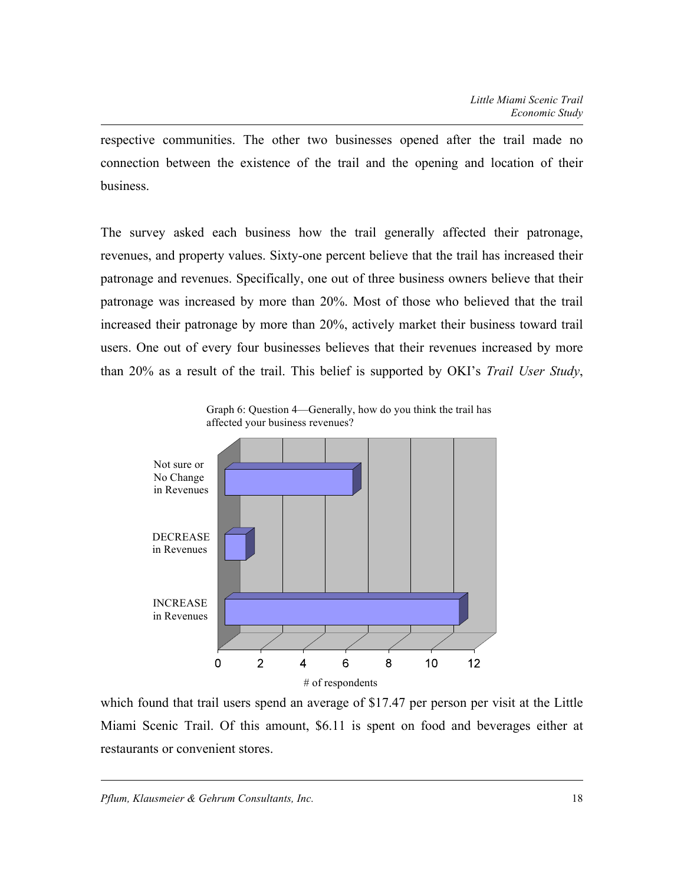respective communities. The other two businesses opened after the trail made no connection between the existence of the trail and the opening and location of their business.

The survey asked each business how the trail generally affected their patronage, revenues, and property values. Sixty-one percent believe that the trail has increased their patronage and revenues. Specifically, one out of three business owners believe that their patronage was increased by more than 20%. Most of those who believed that the trail increased their patronage by more than 20%, actively market their business toward trail users. One out of every four businesses believes that their revenues increased by more than 20% as a result of the trail. This belief is supported by OKI's *Trail User Study*,



Graph 6: Question 4—Generally, how do you think the trail has affected your business revenues?

which found that trail users spend an average of \$17.47 per person per visit at the Little Miami Scenic Trail. Of this amount, \$6.11 is spent on food and beverages either at restaurants or convenient stores.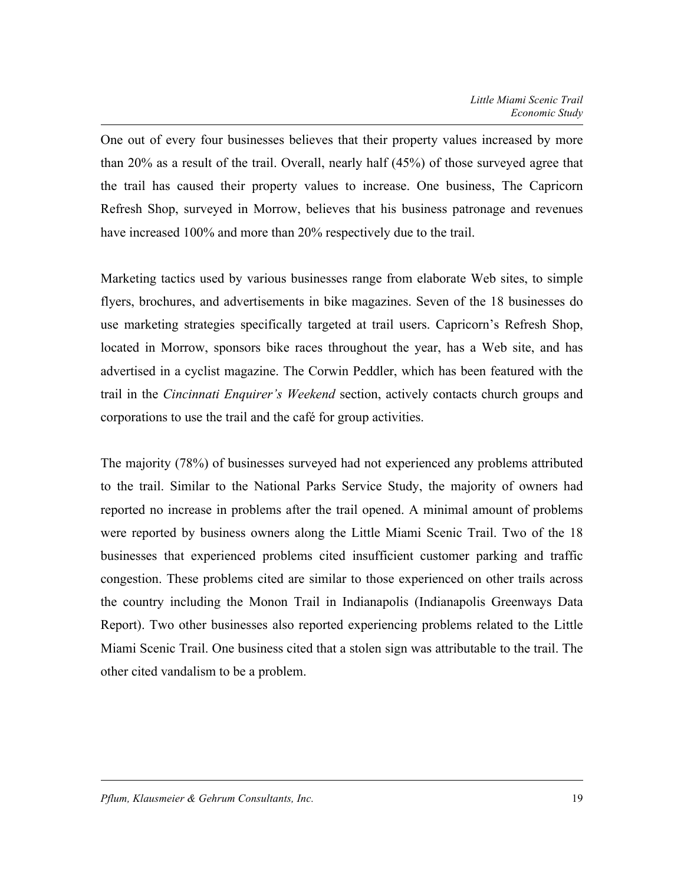One out of every four businesses believes that their property values increased by more than 20% as a result of the trail. Overall, nearly half (45%) of those surveyed agree that the trail has caused their property values to increase. One business, The Capricorn Refresh Shop, surveyed in Morrow, believes that his business patronage and revenues have increased 100% and more than 20% respectively due to the trail.

Marketing tactics used by various businesses range from elaborate Web sites, to simple flyers, brochures, and advertisements in bike magazines. Seven of the 18 businesses do use marketing strategies specifically targeted at trail users. Capricorn's Refresh Shop, located in Morrow, sponsors bike races throughout the year, has a Web site, and has advertised in a cyclist magazine. The Corwin Peddler, which has been featured with the trail in the *Cincinnati Enquirer's Weekend* section, actively contacts church groups and corporations to use the trail and the café for group activities.

The majority (78%) of businesses surveyed had not experienced any problems attributed to the trail. Similar to the National Parks Service Study, the majority of owners had reported no increase in problems after the trail opened. A minimal amount of problems were reported by business owners along the Little Miami Scenic Trail. Two of the 18 businesses that experienced problems cited insufficient customer parking and traffic congestion. These problems cited are similar to those experienced on other trails across the country including the Monon Trail in Indianapolis (Indianapolis Greenways Data Report). Two other businesses also reported experiencing problems related to the Little Miami Scenic Trail. One business cited that a stolen sign was attributable to the trail. The other cited vandalism to be a problem.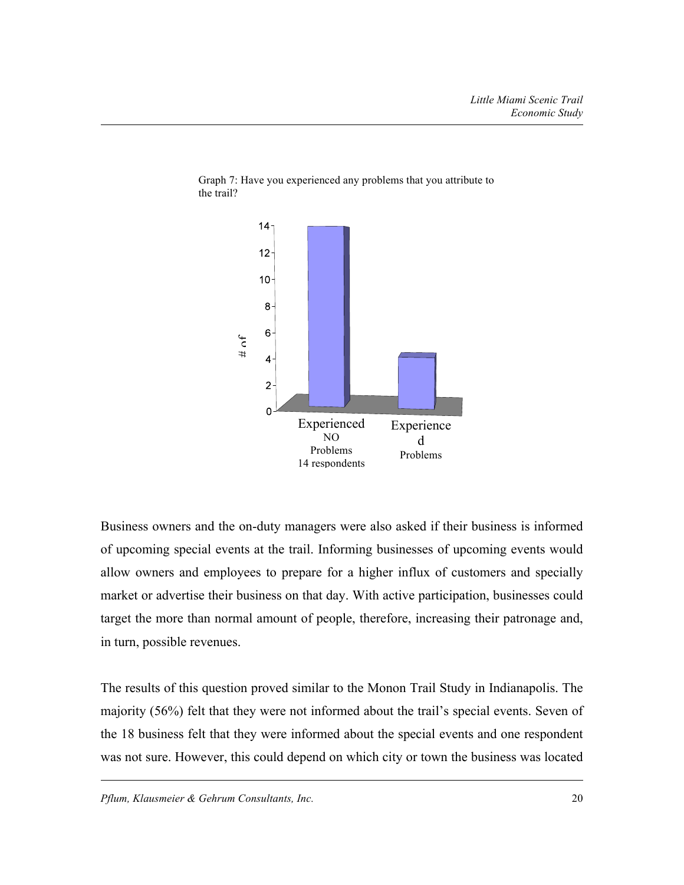



Business owners and the on-duty managers were also asked if their business is informed of upcoming special events at the trail. Informing businesses of upcoming events would allow owners and employees to prepare for a higher influx of customers and specially market or advertise their business on that day. With active participation, businesses could target the more than normal amount of people, therefore, increasing their patronage and, in turn, possible revenues.

The results of this question proved similar to the Monon Trail Study in Indianapolis. The majority (56%) felt that they were not informed about the trail's special events. Seven of the 18 business felt that they were informed about the special events and one respondent was not sure. However, this could depend on which city or town the business was located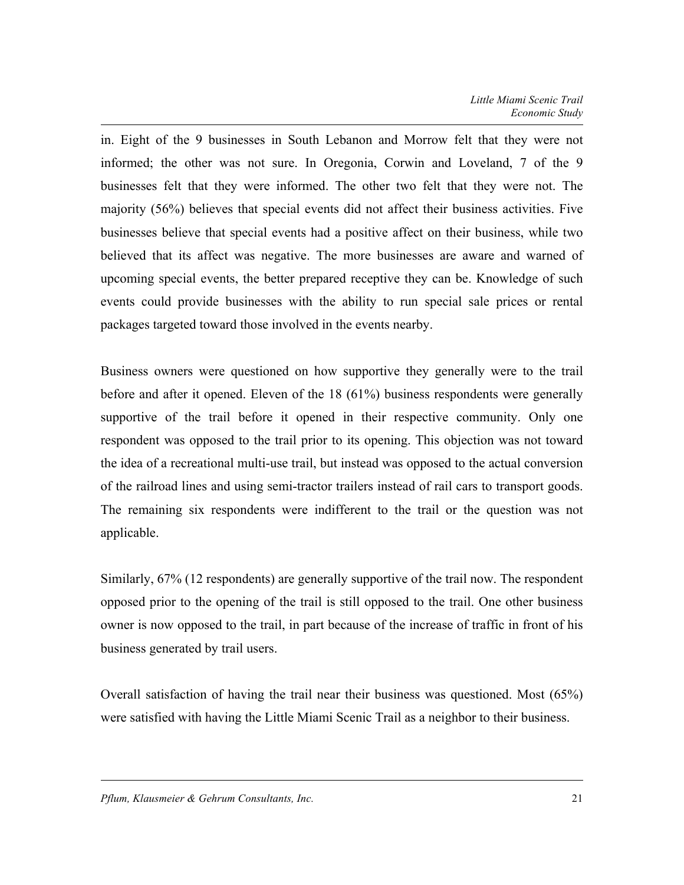in. Eight of the 9 businesses in South Lebanon and Morrow felt that they were not informed; the other was not sure. In Oregonia, Corwin and Loveland, 7 of the 9 businesses felt that they were informed. The other two felt that they were not. The majority (56%) believes that special events did not affect their business activities. Five businesses believe that special events had a positive affect on their business, while two believed that its affect was negative. The more businesses are aware and warned of upcoming special events, the better prepared receptive they can be. Knowledge of such events could provide businesses with the ability to run special sale prices or rental packages targeted toward those involved in the events nearby.

Business owners were questioned on how supportive they generally were to the trail before and after it opened. Eleven of the 18 (61%) business respondents were generally supportive of the trail before it opened in their respective community. Only one respondent was opposed to the trail prior to its opening. This objection was not toward the idea of a recreational multi-use trail, but instead was opposed to the actual conversion of the railroad lines and using semi-tractor trailers instead of rail cars to transport goods. The remaining six respondents were indifferent to the trail or the question was not applicable.

Similarly, 67% (12 respondents) are generally supportive of the trail now. The respondent opposed prior to the opening of the trail is still opposed to the trail. One other business owner is now opposed to the trail, in part because of the increase of traffic in front of his business generated by trail users.

Overall satisfaction of having the trail near their business was questioned. Most (65%) were satisfied with having the Little Miami Scenic Trail as a neighbor to their business.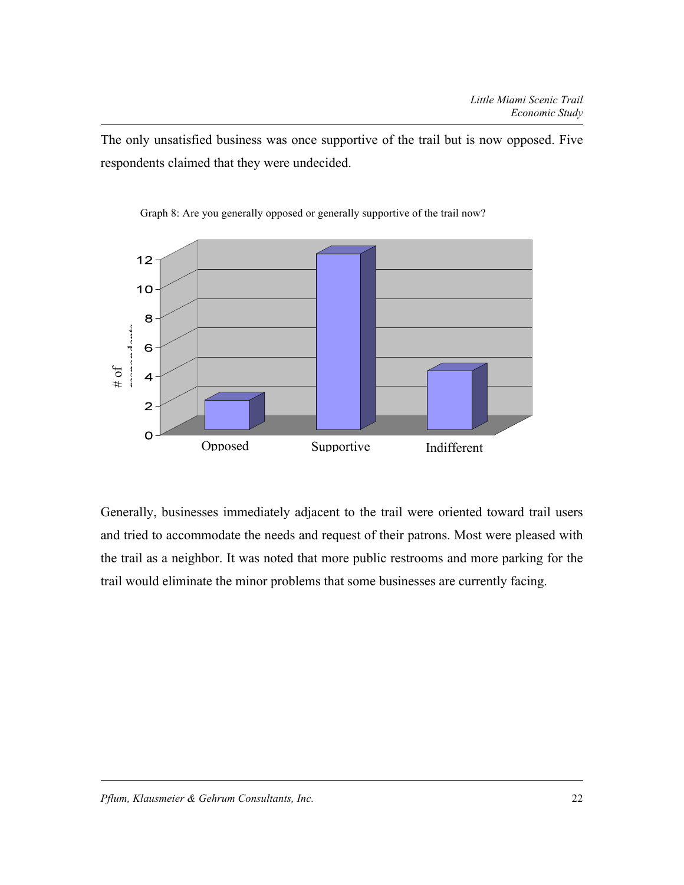The only unsatisfied business was once supportive of the trail but is now opposed. Five respondents claimed that they were undecided.



Graph 8: Are you generally opposed or generally supportive of the trail now?

Generally, businesses immediately adjacent to the trail were oriented toward trail users and tried to accommodate the needs and request of their patrons. Most were pleased with the trail as a neighbor. It was noted that more public restrooms and more parking for the trail would eliminate the minor problems that some businesses are currently facing.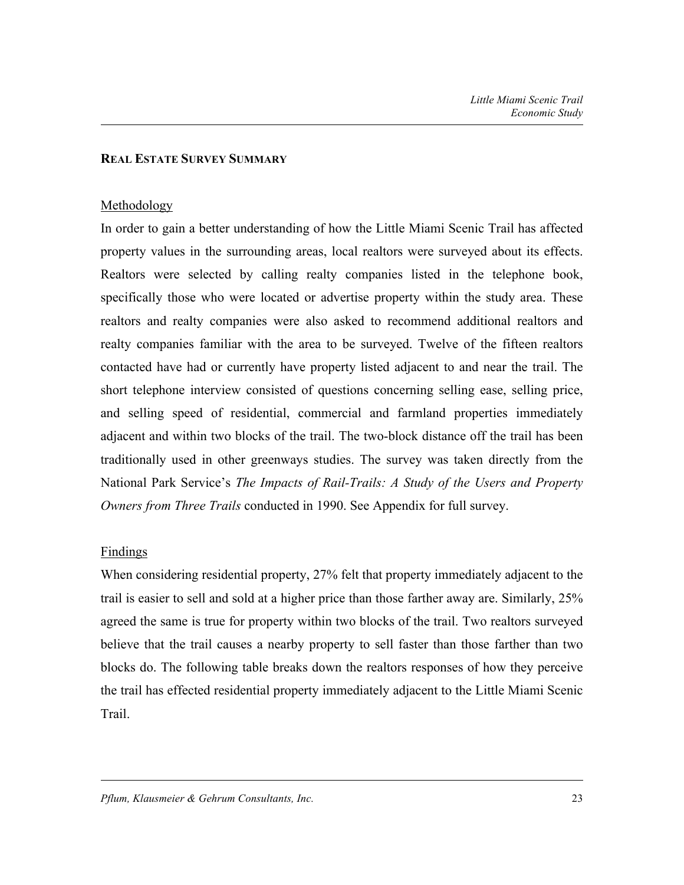#### **REAL ESTATE SURVEY SUMMARY**

#### Methodology

In order to gain a better understanding of how the Little Miami Scenic Trail has affected property values in the surrounding areas, local realtors were surveyed about its effects. Realtors were selected by calling realty companies listed in the telephone book, specifically those who were located or advertise property within the study area. These realtors and realty companies were also asked to recommend additional realtors and realty companies familiar with the area to be surveyed. Twelve of the fifteen realtors contacted have had or currently have property listed adjacent to and near the trail. The short telephone interview consisted of questions concerning selling ease, selling price, and selling speed of residential, commercial and farmland properties immediately adjacent and within two blocks of the trail. The two-block distance off the trail has been traditionally used in other greenways studies. The survey was taken directly from the National Park Service's *The Impacts of Rail-Trails: A Study of the Users and Property Owners from Three Trails* conducted in 1990. See Appendix for full survey.

### **Findings**

When considering residential property, 27% felt that property immediately adjacent to the trail is easier to sell and sold at a higher price than those farther away are. Similarly, 25% agreed the same is true for property within two blocks of the trail. Two realtors surveyed believe that the trail causes a nearby property to sell faster than those farther than two blocks do. The following table breaks down the realtors responses of how they perceive the trail has effected residential property immediately adjacent to the Little Miami Scenic Trail.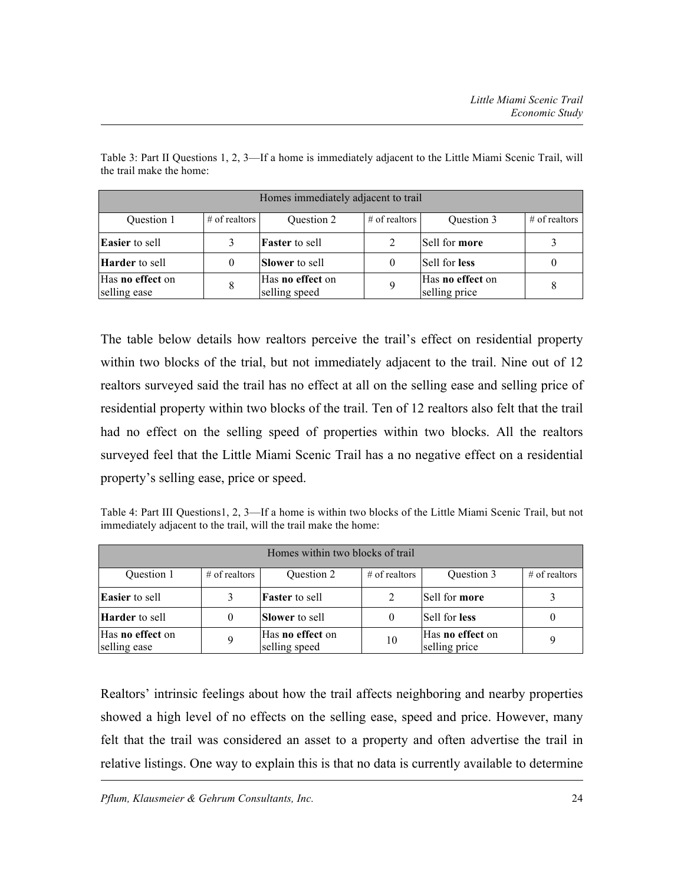| Homes immediately adjacent to trail |                  |                                   |                  |                                   |                 |
|-------------------------------------|------------------|-----------------------------------|------------------|-----------------------------------|-----------------|
| Question 1                          | $\#$ of realtors | Question 2                        | $\#$ of realtors | Question 3                        | $#$ of realtors |
| <b>Easier</b> to sell               | 3                | <b>Faster</b> to sell             |                  | Sell for more                     |                 |
| <b>Harder</b> to sell               | $\mathbf{0}$     | <b>Slower</b> to sell             |                  | Sell for less                     |                 |
| Has no effect on<br>selling ease    | 8                | Has no effect on<br>selling speed |                  | Has no effect on<br>selling price |                 |

Table 3: Part II Questions 1, 2, 3—If a home is immediately adjacent to the Little Miami Scenic Trail, will the trail make the home:

The table below details how realtors perceive the trail's effect on residential property within two blocks of the trial, but not immediately adjacent to the trail. Nine out of 12 realtors surveyed said the trail has no effect at all on the selling ease and selling price of residential property within two blocks of the trail. Ten of 12 realtors also felt that the trail had no effect on the selling speed of properties within two blocks. All the realtors surveyed feel that the Little Miami Scenic Trail has a no negative effect on a residential property's selling ease, price or speed.

Table 4: Part III Questions1, 2, 3—If a home is within two blocks of the Little Miami Scenic Trail, but not immediately adjacent to the trail, will the trail make the home:

| Homes within two blocks of trail |                 |                                          |                 |                                          |                  |
|----------------------------------|-----------------|------------------------------------------|-----------------|------------------------------------------|------------------|
| Question 1                       | $#$ of realtors | Question 2                               | $#$ of realtors | Question 3                               | $\#$ of realtors |
| <b>Easier</b> to sell            | 3               | <b>Faster</b> to sell                    |                 | Sell for more                            |                  |
| <b>Harder</b> to sell            | 0               | <b>Slower</b> to sell                    |                 | Sell for less                            |                  |
| Has no effect on<br>selling ease | 9               | Has <b>no effect</b> on<br>selling speed | 10              | Has <b>no</b> effect on<br>selling price | 9                |

Realtors' intrinsic feelings about how the trail affects neighboring and nearby properties showed a high level of no effects on the selling ease, speed and price. However, many felt that the trail was considered an asset to a property and often advertise the trail in relative listings. One way to explain this is that no data is currently available to determine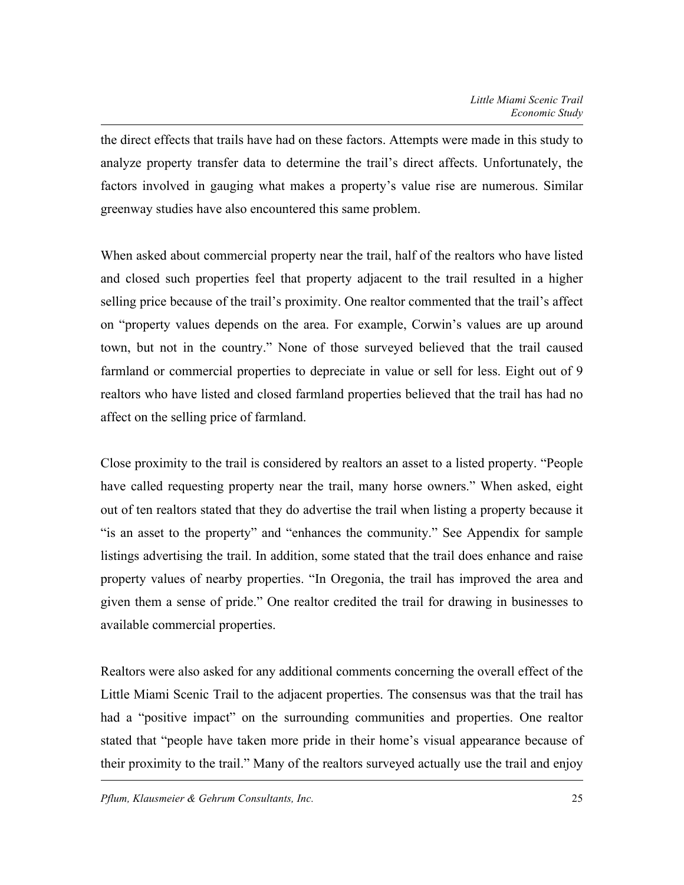the direct effects that trails have had on these factors. Attempts were made in this study to analyze property transfer data to determine the trail's direct affects. Unfortunately, the factors involved in gauging what makes a property's value rise are numerous. Similar greenway studies have also encountered this same problem.

When asked about commercial property near the trail, half of the realtors who have listed and closed such properties feel that property adjacent to the trail resulted in a higher selling price because of the trail's proximity. One realtor commented that the trail's affect on "property values depends on the area. For example, Corwin's values are up around town, but not in the country." None of those surveyed believed that the trail caused farmland or commercial properties to depreciate in value or sell for less. Eight out of 9 realtors who have listed and closed farmland properties believed that the trail has had no affect on the selling price of farmland.

Close proximity to the trail is considered by realtors an asset to a listed property. "People have called requesting property near the trail, many horse owners." When asked, eight out of ten realtors stated that they do advertise the trail when listing a property because it "is an asset to the property" and "enhances the community." See Appendix for sample listings advertising the trail. In addition, some stated that the trail does enhance and raise property values of nearby properties. "In Oregonia, the trail has improved the area and given them a sense of pride." One realtor credited the trail for drawing in businesses to available commercial properties.

Realtors were also asked for any additional comments concerning the overall effect of the Little Miami Scenic Trail to the adjacent properties. The consensus was that the trail has had a "positive impact" on the surrounding communities and properties. One realtor stated that "people have taken more pride in their home's visual appearance because of their proximity to the trail." Many of the realtors surveyed actually use the trail and enjoy